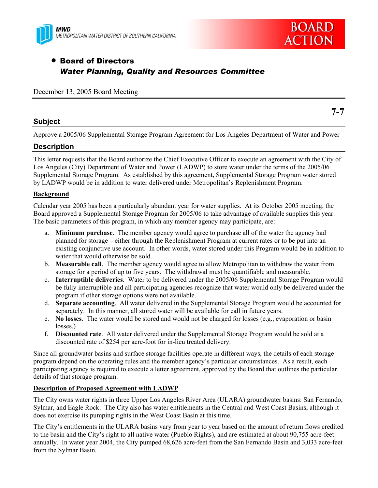



**7-7** 

# • Board of Directors *Water Planning, Quality and Resources Committee*

December 13, 2005 Board Meeting

## **Subject**

Approve a 2005/06 Supplemental Storage Program Agreement for Los Angeles Department of Water and Power

## **Description**

This letter requests that the Board authorize the Chief Executive Officer to execute an agreement with the City of Los Angeles (City) Department of Water and Power (LADWP) to store water under the terms of the 2005/06 Supplemental Storage Program. As established by this agreement, Supplemental Storage Program water stored by LADWP would be in addition to water delivered under Metropolitan's Replenishment Program.

## **Background**

Calendar year 2005 has been a particularly abundant year for water supplies. At its October 2005 meeting, the Board approved a Supplemental Storage Program for 2005/06 to take advantage of available supplies this year. The basic parameters of this program, in which any member agency may participate, are:

- a. **Minimum purchase**. The member agency would agree to purchase all of the water the agency had planned for storage – either through the Replenishment Program at current rates or to be put into an existing conjunctive use account. In other words, water stored under this Program would be in addition to water that would otherwise be sold.
- b. **Measurable call**. The member agency would agree to allow Metropolitan to withdraw the water from storage for a period of up to five years. The withdrawal must be quantifiable and measurable.
- c. **Interruptible deliveries**. Water to be delivered under the 2005/06 Supplemental Storage Program would be fully interruptible and all participating agencies recognize that water would only be delivered under the program if other storage options were not available.
- d. **Separate accounting**. All water delivered in the Supplemental Storage Program would be accounted for separately. In this manner, all stored water will be available for call in future years.
- e. **No losses**. The water would be stored and would not be charged for losses (e.g., evaporation or basin losses.)
- f. **Discounted rate**. All water delivered under the Supplemental Storage Program would be sold at a discounted rate of \$254 per acre-foot for in-lieu treated delivery.

Since all groundwater basins and surface storage facilities operate in different ways, the details of each storage program depend on the operating rules and the member agency's particular circumstances. As a result, each participating agency is required to execute a letter agreement, approved by the Board that outlines the particular details of that storage program.

## **Description of Proposed Agreement with LADWP**

The City owns water rights in three Upper Los Angeles River Area (ULARA) groundwater basins: San Fernando, Sylmar, and Eagle Rock. The City also has water entitlements in the Central and West Coast Basins, although it does not exercise its pumping rights in the West Coast Basin at this time.

The City's entitlements in the ULARA basins vary from year to year based on the amount of return flows credited to the basin and the City's right to all native water (Pueblo Rights), and are estimated at about 90,755 acre-feet annually. In water year 2004, the City pumped 68,626 acre-feet from the San Fernando Basin and 3,033 acre-feet from the Sylmar Basin.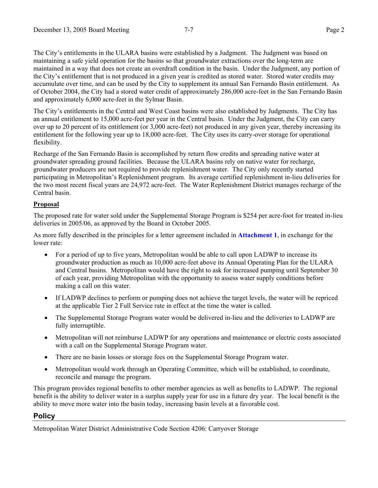The City's entitlements in the ULARA basins were established by a Judgment. The Judgment was based on maintaining a safe yield operation for the basins so that groundwater extractions over the long-term are maintained in a way that does not create an overdraft condition in the basin. Under the Judgment, any portion of the City's entitlement that is not produced in a given year is credited as stored water. Stored water credits may accumulate over time, and can be used by the City to supplement its annual San Fernando Basin entitlement. As of October 2004, the City had a stored water credit of approximately 286,000 acre-feet in the San Fernando Basin and approximately 6,000 acre-feet in the Sylmar Basin.

The City's entitlements in the Central and West Coast basins were also established by Judgments. The City has an annual entitlement to 15,000 acre-feet per year in the Central basin. Under the Judgment, the City can carry over up to 20 percent of its entitlement (or 3,000 acre-feet) not produced in any given year, thereby increasing its entitlement for the following year up to 18,000 acre-feet. The City uses its carry-over storage for operational flexibility.

Recharge of the San Fernando Basin is accomplished by return flow credits and spreading native water at groundwater spreading ground facilities. Because the ULARA basins rely on native water for recharge, groundwater producers are not required to provide replenishment water. The City only recently started participating in Metropolitan's Replenishment program. Its average certified replenishment in-lieu deliveries for the two most recent fiscal years are 24,972 acre-feet. The Water Replenishment District manages recharge of the Central basin.

## **Proposal**

The proposed rate for water sold under the Supplemental Storage Program is \$254 per acre-foot for treated in-lieu deliveries in 2005/06, as approved by the Board in October 2005.

As more fully described in the principles for a letter agreement included in **Attachment 1**, in exchange for the lower rate:

- For a period of up to five years, Metropolitan would be able to call upon LADWP to increase its groundwater production as much as 10,000 acre-feet above its Annual Operating Plan for the ULARA and Central basins. Metropolitan would have the right to ask for increased pumping until September 30 of each year, providing Metropolitan with the opportunity to assess water supply conditions before making a call on this water.
- If LADWP declines to perform or pumping does not achieve the target levels, the water will be repriced at the applicable Tier 2 Full Service rate in effect at the time the water is called.
- The Supplemental Storage Program water would be delivered in-lieu and the deliveries to LADWP are fully interruptible.
- Metropolitan will not reimburse LADWP for any operations and maintenance or electric costs associated with a call on the Supplemental Storage Program water.
- There are no basin losses or storage fees on the Supplemental Storage Program water.
- Metropolitan would work through an Operating Committee, which will be established, to coordinate, reconcile and manage the program.

This program provides regional benefits to other member agencies as well as benefits to LADWP. The regional benefit is the ability to deliver water in a surplus supply year for use in a future dry year. The local benefit is the ability to move more water into the basin today, increasing basin levels at a favorable cost.

## **Policy**

Metropolitan Water District Administrative Code Section 4206: Carryover Storage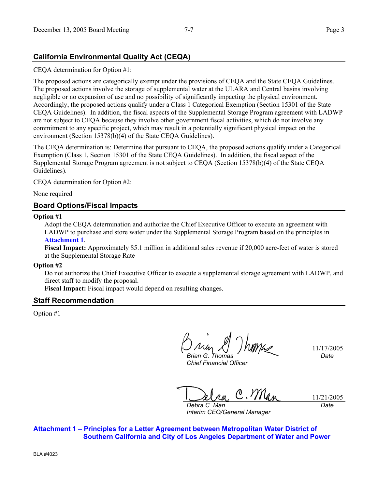## **California Environmental Quality Act (CEQA)**

CEQA determination for Option #1:

The proposed actions are categorically exempt under the provisions of CEQA and the State CEQA Guidelines. The proposed actions involve the storage of supplemental water at the ULARA and Central basins involving negligible or no expansion of use and no possibility of significantly impacting the physical environment. Accordingly, the proposed actions qualify under a Class 1 Categorical Exemption (Section 15301 of the State CEQA Guidelines). In addition, the fiscal aspects of the Supplemental Storage Program agreement with LADWP are not subject to CEQA because they involve other government fiscal activities, which do not involve any commitment to any specific project, which may result in a potentially significant physical impact on the environment (Section 15378(b)(4) of the State CEQA Guidelines).

The CEQA determination is: Determine that pursuant to CEQA, the proposed actions qualify under a Categorical Exemption (Class 1, Section 15301 of the State CEQA Guidelines). In addition, the fiscal aspect of the Supplemental Storage Program agreement is not subject to CEQA (Section 15378(b)(4) of the State CEQA Guidelines).

CEQA determination for Option #2:

None required

## **Board Options/Fiscal Impacts**

### **Option #1**

Adopt the CEQA determination and authorize the Chief Executive Officer to execute an agreement with LADWP to purchase and store water under the Supplemental Storage Program based on the principles in **Attachment 1**.

**Fiscal Impact:** Approximately \$5.1 million in additional sales revenue if 20,000 acre-feet of water is stored at the Supplemental Storage Rate

### **Option #2**

Do not authorize the Chief Executive Officer to execute a supplemental storage agreement with LADWP, and direct staff to modify the proposal.

**Fiscal Impact:** Fiscal impact would depend on resulting changes.

### **Staff Recommendation**

Option #1

*Brian G. Thomas Chief Financial Officer* 

11/17/2005 *Date* 

 $C.M$ 11/21/2005 *Debra C. Man* 

*Interim CEO/General Manager* 

*Date* 

**Attachment 1 – Principles for a Letter Agreement between Metropolitan Water District of Southern California and City of Los Angeles Department of Water and Power**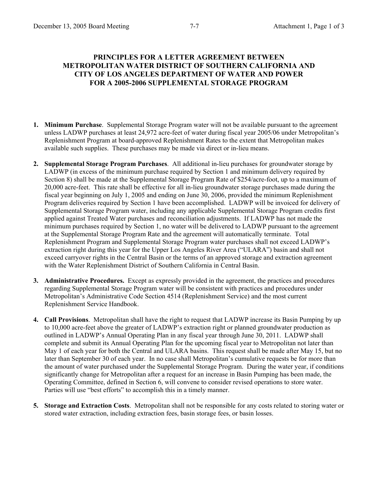## **PRINCIPLES FOR A LETTER AGREEMENT BETWEEN METROPOLITAN WATER DISTRICT OF SOUTHERN CALIFORNIA AND CITY OF LOS ANGELES DEPARTMENT OF WATER AND POWER FOR A 2005-2006 SUPPLEMENTAL STORAGE PROGRAM**

- **1. Minimum Purchase**. Supplemental Storage Program water will not be available pursuant to the agreement unless LADWP purchases at least 24,972 acre-feet of water during fiscal year 2005/06 under Metropolitan's Replenishment Program at board-approved Replenishment Rates to the extent that Metropolitan makes available such supplies. These purchases may be made via direct or in-lieu means.
- **2. Supplemental Storage Program Purchases**. All additional in-lieu purchases for groundwater storage by LADWP (in excess of the minimum purchase required by Section 1 and minimum delivery required by Section 8) shall be made at the Supplemental Storage Program Rate of \$254/acre-foot, up to a maximum of 20,000 acre-feet. This rate shall be effective for all in-lieu groundwater storage purchases made during the fiscal year beginning on July 1, 2005 and ending on June 30, 2006, provided the minimum Replenishment Program deliveries required by Section 1 have been accomplished. LADWP will be invoiced for delivery of Supplemental Storage Program water, including any applicable Supplemental Storage Program credits first applied against Treated Water purchases and reconciliation adjustments. If LADWP has not made the minimum purchases required by Section 1, no water will be delivered to LADWP pursuant to the agreement at the Supplemental Storage Program Rate and the agreement will automatically terminate. Total Replenishment Program and Supplemental Storage Program water purchases shall not exceed LADWP's extraction right during this year for the Upper Los Angeles River Area ("ULARA") basin and shall not exceed carryover rights in the Central Basin or the terms of an approved storage and extraction agreement with the Water Replenishment District of Southern California in Central Basin.
- **3. Administrative Procedures.** Except as expressly provided in the agreement, the practices and procedures regarding Supplemental Storage Program water will be consistent with practices and procedures under Metropolitan's Administrative Code Section 4514 (Replenishment Service) and the most current Replenishment Service Handbook.
- **4. Call Provisions**. Metropolitan shall have the right to request that LADWP increase its Basin Pumping by up to 10,000 acre-feet above the greater of LADWP's extraction right or planned groundwater production as outlined in LADWP's Annual Operating Plan in any fiscal year through June 30, 2011. LADWP shall complete and submit its Annual Operating Plan for the upcoming fiscal year to Metropolitan not later than May 1 of each year for both the Central and ULARA basins. This request shall be made after May 15, but no later than September 30 of each year. In no case shall Metropolitan's cumulative requests be for more than the amount of water purchased under the Supplemental Storage Program. During the water year, if conditions significantly change for Metropolitan after a request for an increase in Basin Pumping has been made, the Operating Committee, defined in Section 6, will convene to consider revised operations to store water. Parties will use "best efforts" to accomplish this in a timely manner.
- **5. Storage and Extraction Costs**. Metropolitan shall not be responsible for any costs related to storing water or stored water extraction, including extraction fees, basin storage fees, or basin losses.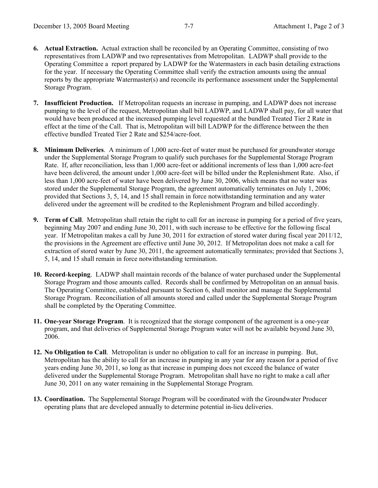- **6. Actual Extraction.** Actual extraction shall be reconciled by an Operating Committee, consisting of two representatives from LADWP and two representatives from Metropolitan. LADWP shall provide to the Operating Committee a report prepared by LADWP for the Watermasters in each basin detailing extractions for the year. If necessary the Operating Committee shall verify the extraction amounts using the annual reports by the appropriate Watermaster(s) and reconcile its performance assessment under the Supplemental Storage Program.
- **7. Insufficient Production.** If Metropolitan requests an increase in pumping, and LADWP does not increase pumping to the level of the request, Metropolitan shall bill LADWP, and LADWP shall pay, for all water that would have been produced at the increased pumping level requested at the bundled Treated Tier 2 Rate in effect at the time of the Call. That is, Metropolitan will bill LADWP for the difference between the then effective bundled Treated Tier 2 Rate and \$254/acre-foot.
- **8. Minimum Deliveries**. A minimum of 1,000 acre-feet of water must be purchased for groundwater storage under the Supplemental Storage Program to qualify such purchases for the Supplemental Storage Program Rate. If, after reconciliation, less than 1,000 acre-feet or additional increments of less than 1,000 acre-feet have been delivered, the amount under 1,000 acre-feet will be billed under the Replenishment Rate. Also, if less than 1,000 acre-feet of water have been delivered by June 30, 2006, which means that no water was stored under the Supplemental Storage Program, the agreement automatically terminates on July 1, 2006; provided that Sections 3, 5, 14, and 15 shall remain in force notwithstanding termination and any water delivered under the agreement will be credited to the Replenishment Program and billed accordingly.
- **9. Term of Call**. Metropolitan shall retain the right to call for an increase in pumping for a period of five years, beginning May 2007 and ending June 30, 2011, with such increase to be effective for the following fiscal year. If Metropolitan makes a call by June 30, 2011 for extraction of stored water during fiscal year 2011/12, the provisions in the Agreement are effective until June 30, 2012. If Metropolitan does not make a call for extraction of stored water by June 30, 2011, the agreement automatically terminates; provided that Sections 3, 5, 14, and 15 shall remain in force notwithstanding termination.
- **10. Record**-**keeping**. LADWP shall maintain records of the balance of water purchased under the Supplemental Storage Program and those amounts called. Records shall be confirmed by Metropolitan on an annual basis. The Operating Committee, established pursuant to Section 6, shall monitor and manage the Supplemental Storage Program. Reconciliation of all amounts stored and called under the Supplemental Storage Program shall be completed by the Operating Committee.
- **11. One-year Storage Program**. It is recognized that the storage component of the agreement is a one-year program, and that deliveries of Supplemental Storage Program water will not be available beyond June 30, 2006.
- **12. No Obligation to Call**. Metropolitan is under no obligation to call for an increase in pumping. But, Metropolitan has the ability to call for an increase in pumping in any year for any reason for a period of five years ending June 30, 2011, so long as that increase in pumping does not exceed the balance of water delivered under the Supplemental Storage Program. Metropolitan shall have no right to make a call after June 30, 2011 on any water remaining in the Supplemental Storage Program.
- **13. Coordination.** The Supplemental Storage Program will be coordinated with the Groundwater Producer operating plans that are developed annually to determine potential in-lieu deliveries.